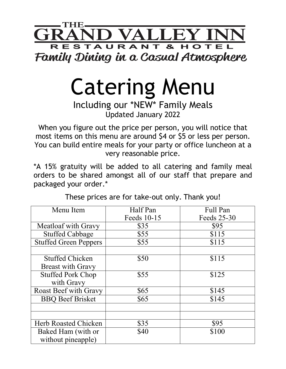

## Catering Menu

## Including our \*NEW\* Family Meals Updated January 2022

When you figure out the price per person, you will notice that most items on this menu are around \$4 or \$5 or less per person. You can build entire meals for your party or office luncheon at a very reasonable price.

\*A 15% gratuity will be added to all catering and family meal orders to be shared amongst all of our staff that prepare and packaged your order.\*

| Menu Item                    | Half Pan    | <b>Full Pan</b> |
|------------------------------|-------------|-----------------|
|                              | Feeds 10-15 | Feeds 25-30     |
| Meatloaf with Gravy          | \$35        | \$95            |
| <b>Stuffed Cabbage</b>       | \$55        | \$115           |
| <b>Stuffed Green Peppers</b> | \$55        | \$115           |
|                              |             |                 |
| <b>Stuffed Chicken</b>       | \$50        | \$115           |
| <b>Breast with Gravy</b>     |             |                 |
| <b>Stuffed Pork Chop</b>     | \$55        | \$125           |
| with Gravy                   |             |                 |
| <b>Roast Beef with Gravy</b> | \$65        | \$145           |
| <b>BBO</b> Beef Brisket      | \$65        | \$145           |
|                              |             |                 |
|                              |             |                 |
| <b>Herb Roasted Chicken</b>  | \$35        | \$95            |
| Baked Ham (with or           | \$40        | \$100           |
| without pineapple)           |             |                 |

These prices are for take-out only. Thank you!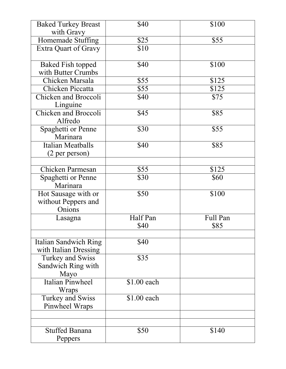| <b>Baked Turkey Breast</b><br>with Gravy              | \$40         | \$100         |
|-------------------------------------------------------|--------------|---------------|
| Homemade Stuffing                                     | \$25         | \$55          |
| <b>Extra Quart of Gravy</b>                           | \$10         |               |
| <b>Baked Fish topped</b><br>with Butter Crumbs        | \$40         | \$100         |
| Chicken Marsala                                       | \$55         | \$125         |
| Chicken Piccatta                                      | \$55         | \$125         |
| <b>Chicken and Broccoli</b><br>Linguine               | \$40         | \$75          |
| <b>Chicken and Broccoli</b><br>Alfredo                | \$45         | \$85          |
| Spaghetti or Penne<br>Marinara                        | \$30         | \$55          |
| <b>Italian Meatballs</b><br>(2 per person)            | \$40         | \$85          |
|                                                       |              |               |
| Chicken Parmesan                                      | \$55<br>\$30 | \$125<br>\$60 |
| Spaghetti or Penne<br>Marinara                        |              |               |
| Hot Sausage with or<br>without Peppers and<br>Onions  | \$50         | \$100         |
| Lasagna                                               | Half Pan     | Full Pan      |
|                                                       | \$40         | \$85          |
|                                                       |              |               |
| <b>Italian Sandwich Ring</b><br>with Italian Dressing | \$40         |               |
| <b>Turkey and Swiss</b><br>Sandwich Ring with<br>Mayo | \$35         |               |
| <b>Italian Pinwheel</b><br>Wraps                      | \$1.00 each  |               |
| Turkey and Swiss<br>Pinwheel Wraps                    | \$1.00 each  |               |
|                                                       |              |               |
|                                                       |              |               |
| <b>Stuffed Banana</b><br>Peppers                      | \$50         | \$140         |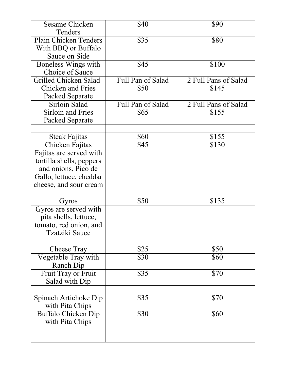| <b>Sesame Chicken</b>        | \$40              | \$90                 |
|------------------------------|-------------------|----------------------|
| Tenders                      |                   |                      |
| Plain Chicken Tenders        | \$35              | \$80                 |
| With BBQ or Buffalo          |                   |                      |
| Sauce on Side                |                   |                      |
| Boneless Wings with          | \$45              | \$100                |
| <b>Choice of Sauce</b>       |                   |                      |
| <b>Grilled Chicken Salad</b> | Full Pan of Salad | 2 Full Pans of Salad |
| <b>Chicken and Fries</b>     | \$50              | \$145                |
| Packed Separate              |                   |                      |
| Sirloin Salad                | Full Pan of Salad | 2 Full Pans of Salad |
| <b>Sirloin and Fries</b>     | \$65              | \$155                |
| Packed Separate              |                   |                      |
|                              |                   |                      |
| Steak Fajitas                | \$60              | \$155                |
| Chicken Fajitas              | \$45              | \$130                |
| Fajitas are served with      |                   |                      |
| tortilla shells, peppers     |                   |                      |
| and onions, Pico de          |                   |                      |
| Gallo, lettuce, cheddar      |                   |                      |
| cheese, and sour cream       |                   |                      |
|                              |                   |                      |
| Gyros                        | \$50              | \$135                |
| Gyros are served with        |                   |                      |
| pita shells, lettuce,        |                   |                      |
| tomato, red onion, and       |                   |                      |
| <b>Tzatziki Sauce</b>        |                   |                      |
|                              |                   |                      |
| Cheese Tray                  | \$25              | \$50                 |
| Vegetable Tray with          | \$30              | \$60                 |
| Ranch Dip                    |                   |                      |
| Fruit Tray or Fruit          | \$35              | \$70                 |
| Salad with Dip               |                   |                      |
|                              |                   |                      |
| Spinach Artichoke Dip        | \$35              | \$70                 |
| with Pita Chips              |                   |                      |
| Buffalo Chicken Dip          | \$30              | \$60                 |
| with Pita Chips              |                   |                      |
|                              |                   |                      |
|                              |                   |                      |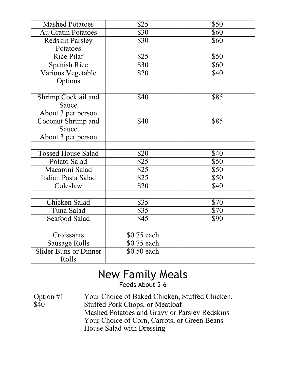| <b>Mashed Potatoes</b>       | \$25        | \$50 |
|------------------------------|-------------|------|
| <b>Au Gratin Potatoes</b>    | \$30        | \$60 |
| <b>Redskin Parsley</b>       | \$30        | \$60 |
| Potatoes                     |             |      |
| <b>Rice Pilaf</b>            | \$25        | \$50 |
| <b>Spanish Rice</b>          | \$30        | \$60 |
| Various Vegetable            | \$20        | \$40 |
| Options                      |             |      |
|                              |             |      |
| Shrimp Cocktail and          | \$40        | \$85 |
| Sauce                        |             |      |
| About 3 per person           |             |      |
| Coconut Shrimp and           | \$40        | \$85 |
| Sauce                        |             |      |
| About 3 per person           |             |      |
|                              |             |      |
| <b>Tossed House Salad</b>    | \$20        | \$40 |
| Potato Salad                 | \$25        | \$50 |
| Macaroni Salad               | \$25        | \$50 |
| Italian Pasta Salad          | \$25        | \$50 |
| Coleslaw                     | \$20        | \$40 |
|                              |             |      |
| Chicken Salad                | \$35        | \$70 |
| Tuna Salad                   | \$35        | \$70 |
| Seafood Salad                | \$45        | \$90 |
|                              |             |      |
| Croissants                   | \$0.75 each |      |
| <b>Sausage Rolls</b>         | \$0.75 each |      |
| <b>Slider Buns or Dinner</b> | \$0.50 each |      |
| Rolls                        |             |      |

## New Family Meals Feeds About 5-6

Option #1 Your Choice of Baked Chicken, Stuffed Chicken, \$40 Stuffed Pork Chops, or Meatloaf Mashed Potatoes and Gravy or Parsley Redskins Your Choice of Corn, Carrots, or Green Beans House Salad with Dressing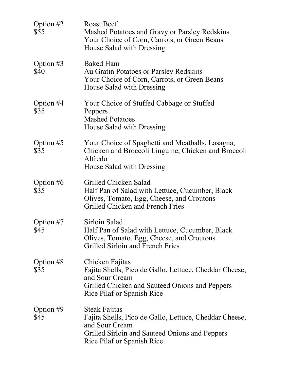| Option #2<br>\$55   | <b>Roast Beef</b><br>Mashed Potatoes and Gravy or Parsley Redskins<br>Your Choice of Corn, Carrots, or Green Beans<br>House Salad with Dressing                                         |
|---------------------|-----------------------------------------------------------------------------------------------------------------------------------------------------------------------------------------|
| Option $#3$<br>\$40 | <b>Baked Ham</b><br>Au Gratin Potatoes or Parsley Redskins<br>Your Choice of Corn, Carrots, or Green Beans<br>House Salad with Dressing                                                 |
| Option $#4$<br>\$35 | Your Choice of Stuffed Cabbage or Stuffed<br>Peppers<br><b>Mashed Potatoes</b><br>House Salad with Dressing                                                                             |
| Option $#5$<br>\$35 | Your Choice of Spaghetti and Meatballs, Lasagna,<br>Chicken and Broccoli Linguine, Chicken and Broccoli<br>Alfredo<br>House Salad with Dressing                                         |
| Option #6<br>\$35   | Grilled Chicken Salad<br>Half Pan of Salad with Lettuce, Cucumber, Black<br>Olives, Tomato, Egg, Cheese, and Croutons<br><b>Grilled Chicken and French Fries</b>                        |
| Option $#7$<br>\$45 | Sirloin Salad<br>Half Pan of Salad with Lettuce, Cucumber, Black<br>Olives, Tomato, Egg, Cheese, and Croutons<br><b>Grilled Sirloin and French Fries</b>                                |
| Option $#8$<br>\$35 | Chicken Fajitas<br>Fajita Shells, Pico de Gallo, Lettuce, Cheddar Cheese,<br>and Sour Cream<br>Grilled Chicken and Sauteed Onions and Peppers<br><b>Rice Pilaf or Spanish Rice</b>      |
| Option $#9$<br>\$45 | <b>Steak Fajitas</b><br>Fajita Shells, Pico de Gallo, Lettuce, Cheddar Cheese,<br>and Sour Cream<br>Grilled Sirloin and Sauteed Onions and Peppers<br><b>Rice Pilaf or Spanish Rice</b> |